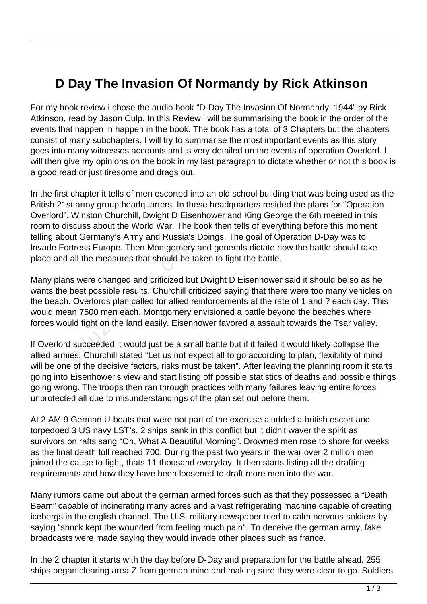## **D Day The Invasion Of Normandy by Rick Atkinson**

For my book review i chose the audio book "D-Day The Invasion Of Normandy, 1944" by Rick Atkinson, read by Jason Culp. In this Review i will be summarising the book in the order of the events that happen in happen in the book. The book has a total of 3 Chapters but the chapters consist of many subchapters. I will try to summarise the most important events as this story goes into many witnesses accounts and is very detailed on the events of operation Overlord. I will then give my opinions on the book in my last paragraph to dictate whether or not this book is a good read or just tiresome and drags out.

In the first chapter it tells of men escorted into an old school building that was being used as the British 21st army group headquarters. In these headquarters resided the plans for "Operation Overlord". Winston Churchill, Dwight D Eisenhower and King George the 6th meeted in this room to discuss about the World War. The book then tells of everything before this moment telling about Germany's Army and Russia's Doings. The goal of Operation D-Day was to Invade Fortress Europe. Then Montgomery and generals dictate how the battle should take place and all the measures that should be taken to fight the battle.

Many plans were changed and criticized but Dwight D Eisenhower said it should be so as he wants the best possible results. Churchill criticized saying that there were too many vehicles on the beach. Overlords plan called for allied reinforcements at the rate of 1 and ? each day. This would mean 7500 men each. Montgomery envisioned a battle beyond the beaches where forces would fight on the land easily. Eisenhower favored a assault towards the Tsar valley. educing the Montgomery<br>tress Europe. Then Montgomery<br>all the measures that should be ta<br>s were changed and criticized but<br>best possible results. Churchill crit<br>Overlords plan called for allied re<br>an 7500 men each. Montgome

If Overlord succeeded it would just be a small battle but if it failed it would likely collapse the allied armies. Churchill stated "Let us not expect all to go according to plan, flexibility of mind will be one of the decisive factors, risks must be taken". After leaving the planning room it starts going into Eisenhower's view and start listing off possible statistics of deaths and possible things going wrong. The troops then ran through practices with many failures leaving entire forces unprotected all due to misunderstandings of the plan set out before them.

At 2 AM 9 German U-boats that were not part of the exercise aludded a british escort and torpedoed 3 US navy LST's. 2 ships sank in this conflict but it didn't waver the spirit as survivors on rafts sang "Oh, What A Beautiful Morning". Drowned men rose to shore for weeks as the final death toll reached 700. During the past two years in the war over 2 million men joined the cause to fight, thats 11 thousand everyday. It then starts listing all the drafting requirements and how they have been loosened to draft more men into the war.

Many rumors came out about the german armed forces such as that they possessed a "Death Beam" capable of incinerating many acres and a vast refrigerating machine capable of creating icebergs in the english channel. The U.S. military newspaper tried to calm nervous soldiers by saying "shock kept the wounded from feeling much pain". To deceive the german army, fake broadcasts were made saying they would invade other places such as france.

In the 2 chapter it starts with the day before D-Day and preparation for the battle ahead. 255 ships began clearing area Z from german mine and making sure they were clear to go. Soldiers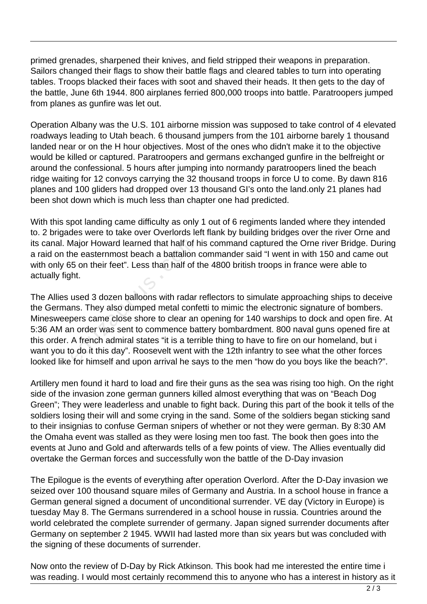primed grenades, sharpened their knives, and field stripped their weapons in preparation. Sailors changed their flags to show their battle flags and cleared tables to turn into operating tables. Troops blacked their faces with soot and shaved their heads. It then gets to the day of the battle, June 6th 1944. 800 airplanes ferried 800,000 troops into battle. Paratroopers jumped from planes as gunfire was let out.

Operation Albany was the U.S. 101 airborne mission was supposed to take control of 4 elevated roadways leading to Utah beach. 6 thousand jumpers from the 101 airborne barely 1 thousand landed near or on the H hour objectives. Most of the ones who didn't make it to the objective would be killed or captured. Paratroopers and germans exchanged gunfire in the belfreight or around the confessional. 5 hours after jumping into normandy paratroopers lined the beach ridge waiting for 12 convoys carrying the 32 thousand troops in force U to come. By dawn 816 planes and 100 gliders had dropped over 13 thousand GI's onto the land.only 21 planes had been shot down which is much less than chapter one had predicted.

With this spot landing came difficulty as only 1 out of 6 regiments landed where they intended to. 2 brigades were to take over Overlords left flank by building bridges over the river Orne and its canal. Major Howard learned that half of his command captured the Orne river Bridge. During a raid on the easternmost beach a battalion commander said "I went in with 150 and came out with only 65 on their feet". Less than half of the 4800 british troops in france were able to actually fight.

The Allies used 3 dozen balloons with radar reflectors to simulate approaching ships to deceive the Germans. They also dumped metal confetti to mimic the electronic signature of bombers. Minesweepers came close shore to clear an opening for 140 warships to dock and open fire. At 5:36 AM an order was sent to commence battery bombardment. 800 naval guns opened fire at this order. A french admiral states "it is a terrible thing to have to fire on our homeland, but i want you to do it this day". Roosevelt went with the 12th infantry to see what the other forces looked like for himself and upon arrival he says to the men "how do you boys like the beach?". Major Howard learned that half of h<br>ne easternmost beach a battalion<br>5 on their feet". Less than half of t<br>ht.<br>used 3 dozen balloons with radar<br>nns. They also dumped metal conf<br>pers came close shore to clear an<br>n order was

Artillery men found it hard to load and fire their guns as the sea was rising too high. On the right side of the invasion zone german gunners killed almost everything that was on "Beach Dog Green"; They were leaderless and unable to fight back. During this part of the book it tells of the soldiers losing their will and some crying in the sand. Some of the soldiers began sticking sand to their insignias to confuse German snipers of whether or not they were german. By 8:30 AM the Omaha event was stalled as they were losing men too fast. The book then goes into the events at Juno and Gold and afterwards tells of a few points of view. The Allies eventually did overtake the German forces and successfully won the battle of the D-Day invasion

The Epilogue is the events of everything after operation Overlord. After the D-Day invasion we seized over 100 thousand square miles of Germany and Austria. In a school house in france a German general signed a document of unconditional surrender. VE day (Victory in Europe) is tuesday May 8. The Germans surrendered in a school house in russia. Countries around the world celebrated the complete surrender of germany. Japan signed surrender documents after Germany on september 2 1945. WWII had lasted more than six years but was concluded with the signing of these documents of surrender.

Now onto the review of D-Day by Rick Atkinson. This book had me interested the entire time i was reading. I would most certainly recommend this to anyone who has a interest in history as it